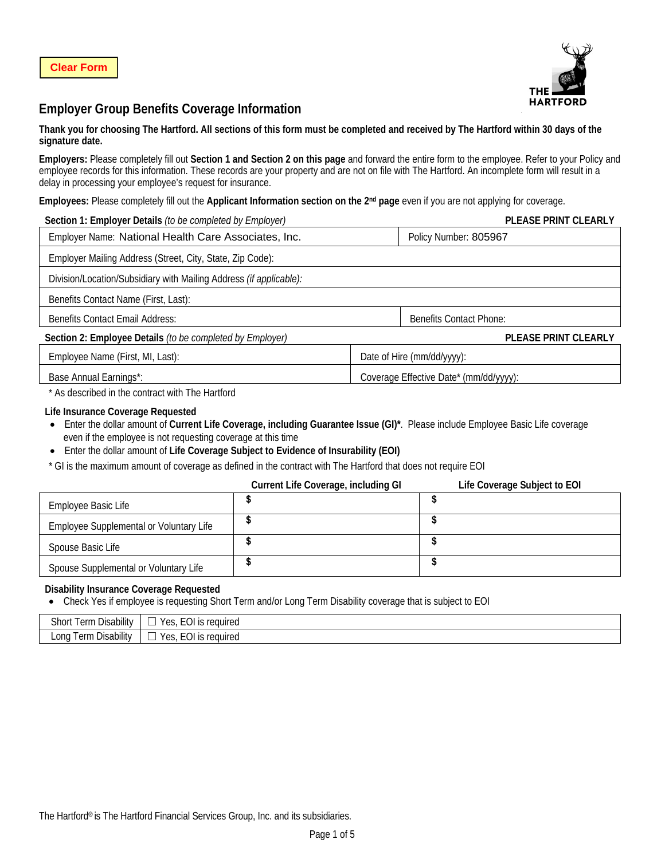

# **Employer Group Benefits Coverage Information**

### **Thank you for choosing The Hartford. All sections of this form must be completed and received by The Hartford within 30 days of the signature date.**

**Employers:** Please completely fill out **Section 1 and Section 2 on this page** and forward the entire form to the employee. Refer to your Policy and employee records for this information. These records are your property and are not on file with The Hartford. An incomplete form will result in a delay in processing your employee's request for insurance.

**Employees:** Please completely fill out the **Applicant Information section on the 2nd page** even if you are not applying for coverage.

| Section 1: Employer Details (to be completed by Employer)          |  | PLEASE PRINT CLEARLY                   |  |
|--------------------------------------------------------------------|--|----------------------------------------|--|
| Employer Name: National Health Care Associates, Inc.               |  | Policy Number: 805967                  |  |
| Employer Mailing Address (Street, City, State, Zip Code):          |  |                                        |  |
| Division/Location/Subsidiary with Mailing Address (if applicable): |  |                                        |  |
| Benefits Contact Name (First, Last):                               |  |                                        |  |
| <b>Benefits Contact Email Address:</b>                             |  | <b>Benefits Contact Phone:</b>         |  |
| Section 2: Employee Details (to be completed by Employer)          |  | PLEASE PRINT CLEARLY                   |  |
| Employee Name (First, MI, Last):                                   |  | Date of Hire (mm/dd/yyyy):             |  |
| Base Annual Earnings*:                                             |  | Coverage Effective Date* (mm/dd/yyyy): |  |

\* As described in the contract with The Hartford

### **Life Insurance Coverage Requested**

• Enter the dollar amount of **Current Life Coverage, including Guarantee Issue (GI)\***. Please include Employee Basic Life coverage even if the employee is not requesting coverage at this time

• Enter the dollar amount of **Life Coverage Subject to Evidence of Insurability (EOI)**

\* GI is the maximum amount of coverage as defined in the contract with The Hartford that does not require EOI

|                                         | Current Life Coverage, including GI | Life Coverage Subject to EOI |
|-----------------------------------------|-------------------------------------|------------------------------|
| Employee Basic Life                     |                                     |                              |
| Employee Supplemental or Voluntary Life |                                     |                              |
| Spouse Basic Life                       |                                     |                              |
| Spouse Supplemental or Voluntary Life   |                                     |                              |

### **Disability Insurance Coverage Requested**

• Check Yes if employee is requesting Short Term and/or Long Term Disability coverage that is subject to EOI

| Disability<br>shor<br><b>Term</b>               | $\Gamma$ $\cap$<br>reauirea<br>Y ∆<<br>ື∟∪⊡<br>w<br>. . |
|-------------------------------------------------|---------------------------------------------------------|
| Disability<br>∟ong<br>$\alpha$ rm<br>- 621 1997 | $\sim$<br>Y ∆<<br>reauirea<br>–∟∪l ′<br>UJ.<br>. .      |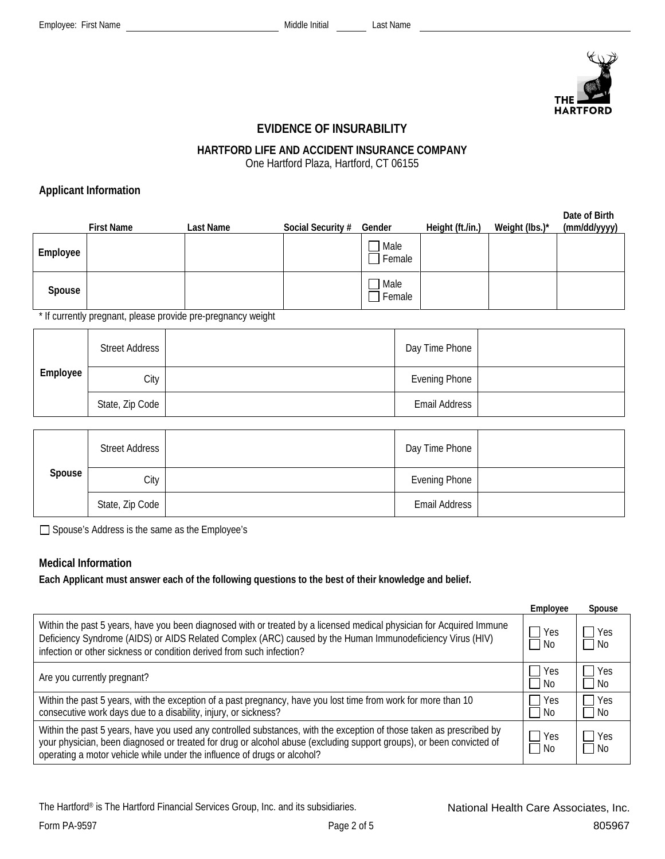

## **EVIDENCE OF INSURABILITY**

# **HARTFORD LIFE AND ACCIDENT INSURANCE COMPANY**

One Hartford Plaza, Hartford, CT 06155

## **Applicant Information**

|          | <b>First Name</b> | Last Name | Social Security # | Gender         | Height (ft./in.) | Weight (lbs.)* | Date of Birth<br>(mm/dd/yyyy) |
|----------|-------------------|-----------|-------------------|----------------|------------------|----------------|-------------------------------|
| Employee |                   |           |                   | Male<br>Female |                  |                |                               |
| Spouse   |                   |           |                   | Male<br>Female |                  |                |                               |

\* If currently pregnant, please provide pre-pregnancy weight

|          | <b>Street Address</b> | Day Time Phone       |  |
|----------|-----------------------|----------------------|--|
| Employee | City                  | Evening Phone        |  |
|          | State, Zip Code       | <b>Email Address</b> |  |

|        | <b>Street Address</b> | Day Time Phone       |  |
|--------|-----------------------|----------------------|--|
| Spouse | City                  | Evening Phone        |  |
|        | State, Zip Code       | <b>Email Address</b> |  |

□ Spouse's Address is the same as the Employee's

## **Medical Information**

**Each Applicant must answer each of the following questions to the best of their knowledge and belief.** 

|                                                                                                                                                                                                                                                                                                                          | Employee                | Spouse              |
|--------------------------------------------------------------------------------------------------------------------------------------------------------------------------------------------------------------------------------------------------------------------------------------------------------------------------|-------------------------|---------------------|
| Within the past 5 years, have you been diagnosed with or treated by a licensed medical physician for Acquired Immune<br>Deficiency Syndrome (AIDS) or AIDS Related Complex (ARC) caused by the Human Immunodeficiency Virus (HIV)<br>infection or other sickness or condition derived from such infection?               | $\Box$ Yes<br>  No      | <b>TYes</b><br>l No |
| Are you currently pregnant?                                                                                                                                                                                                                                                                                              | $\Box$ Yes<br>$\Box$ No | Yes<br>l No         |
| Within the past 5 years, with the exception of a past pregnancy, have you lost time from work for more than 10<br>consecutive work days due to a disability, injury, or sickness?                                                                                                                                        | Yes<br>$\Box$ No        | <b>Yes</b><br>- No  |
| Within the past 5 years, have you used any controlled substances, with the exception of those taken as prescribed by<br>your physician, been diagnosed or treated for drug or alcohol abuse (excluding support groups), or been convicted of<br>operating a motor vehicle while under the influence of drugs or alcohol? | $\Box$ Yes<br>$\Box$ No | l Yes<br>– I No     |

The Hartford® is The Hartford Financial Services Group, Inc. and its subsidiaries.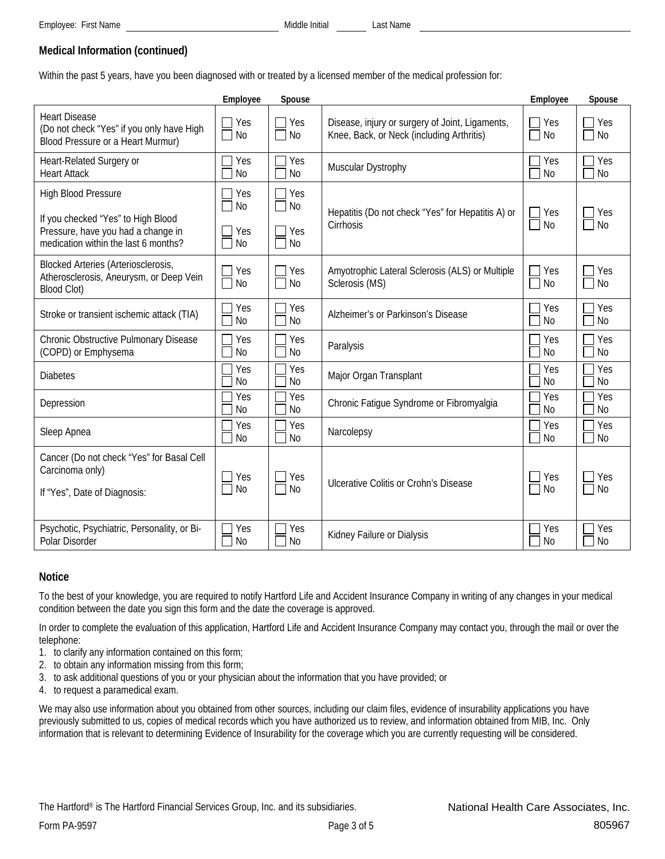# **Medical Information (continued)**

Within the past 5 years, have you been diagnosed with or treated by a licensed member of the medical profession for:

|                                                                                                                                                | Employee                             | Spouse                                   |                                                                                              | Employee              | Spouse                                               |
|------------------------------------------------------------------------------------------------------------------------------------------------|--------------------------------------|------------------------------------------|----------------------------------------------------------------------------------------------|-----------------------|------------------------------------------------------|
| <b>Heart Disease</b><br>(Do not check "Yes" if you only have High<br>Blood Pressure or a Heart Murmur)                                         | Yes<br>N <sub>0</sub>                | Yes<br>$\blacksquare$<br><b>No</b>       | Disease, injury or surgery of Joint, Ligaments,<br>Knee, Back, or Neck (including Arthritis) | Yes<br>N <sub>0</sub> | Yes<br>$\blacksquare$<br><b>No</b><br>$\blacksquare$ |
| Heart-Related Surgery or<br><b>Heart Attack</b>                                                                                                | Yes<br><b>No</b>                     | Yes<br><b>No</b>                         | Muscular Dystrophy                                                                           | Yes<br>N <sub>0</sub> | Yes<br>N <sub>0</sub>                                |
| <b>High Blood Pressure</b><br>If you checked "Yes" to High Blood<br>Pressure, have you had a change in<br>medication within the last 6 months? | Yes<br><b>No</b><br>Yes<br><b>No</b> | 7 Yes<br><b>No</b><br>7 Yes<br><b>No</b> | Hepatitis (Do not check "Yes" for Hepatitis A) or<br>Cirrhosis                               | Yes<br>$\Box$ No      | Yes<br>N <sub>0</sub><br>$\Box$                      |
| <b>Blocked Arteries (Arteriosclerosis,</b><br>Atherosclerosis, Aneurysm, or Deep Vein<br>Blood Clot)                                           | Yes<br>No                            | Yes<br><b>No</b>                         | Amyotrophic Lateral Sclerosis (ALS) or Multiple<br>Sclerosis (MS)                            | Yes<br><b>No</b>      | Yes<br><b>No</b>                                     |
| Stroke or transient ischemic attack (TIA)                                                                                                      | Yes<br>N <sub>0</sub>                | Yes<br><b>No</b>                         | Alzheimer's or Parkinson's Disease                                                           | Yes<br><b>No</b>      | Yes<br><b>No</b>                                     |
| Chronic Obstructive Pulmonary Disease<br>(COPD) or Emphysema                                                                                   | Yes<br>N <sub>o</sub>                | Yes<br><b>No</b>                         | Paralysis                                                                                    | Yes<br>N <sub>0</sub> | Yes<br><b>No</b>                                     |
| <b>Diabetes</b>                                                                                                                                | Yes<br><b>No</b>                     | Yes<br><b>No</b>                         | Major Organ Transplant                                                                       | Yes<br><b>No</b>      | Yes<br><b>No</b>                                     |
| Depression                                                                                                                                     | Yes<br>N <sub>0</sub>                | Yes<br>N <sub>0</sub>                    | Chronic Fatigue Syndrome or Fibromyalgia                                                     | Yes<br>No             | Yes<br><b>No</b>                                     |
| Sleep Apnea                                                                                                                                    | Yes<br><b>No</b>                     | Yes<br><b>No</b>                         | Narcolepsy                                                                                   | Yes<br><b>No</b>      | Yes<br><b>No</b>                                     |
| Cancer (Do not check "Yes" for Basal Cell<br>Carcinoma only)<br>If "Yes", Date of Diagnosis:                                                   | Yes<br>No                            | Yes<br><b>No</b>                         | Ulcerative Colitis or Crohn's Disease                                                        | Yes<br>N <sub>0</sub> | Yes<br>N <sub>0</sub><br>$\Box$                      |
| Psychotic, Psychiatric, Personality, or Bi-<br>Polar Disorder                                                                                  | Yes<br><b>No</b>                     | Yes<br><b>No</b>                         | Kidney Failure or Dialysis                                                                   | Yes<br>N <sub>o</sub> | Yes<br><b>No</b>                                     |

### **Notice**

To the best of your knowledge, you are required to notify Hartford Life and Accident Insurance Company in writing of any changes in your medical condition between the date you sign this form and the date the coverage is approved.

In order to complete the evaluation of this application, Hartford Life and Accident Insurance Company may contact you, through the mail or over the telephone:

- 1. to clarify any information contained on this form;
- 2. to obtain any information missing from this form;
- 3. to ask additional questions of you or your physician about the information that you have provided; or
- 4. to request a paramedical exam.

We may also use information about you obtained from other sources, including our claim files, evidence of insurability applications you have previously submitted to us, copies of medical records which you have authorized us to review, and information obtained from MIB, Inc. Only information that is relevant to determining Evidence of Insurability for the coverage which you are currently requesting will be considered.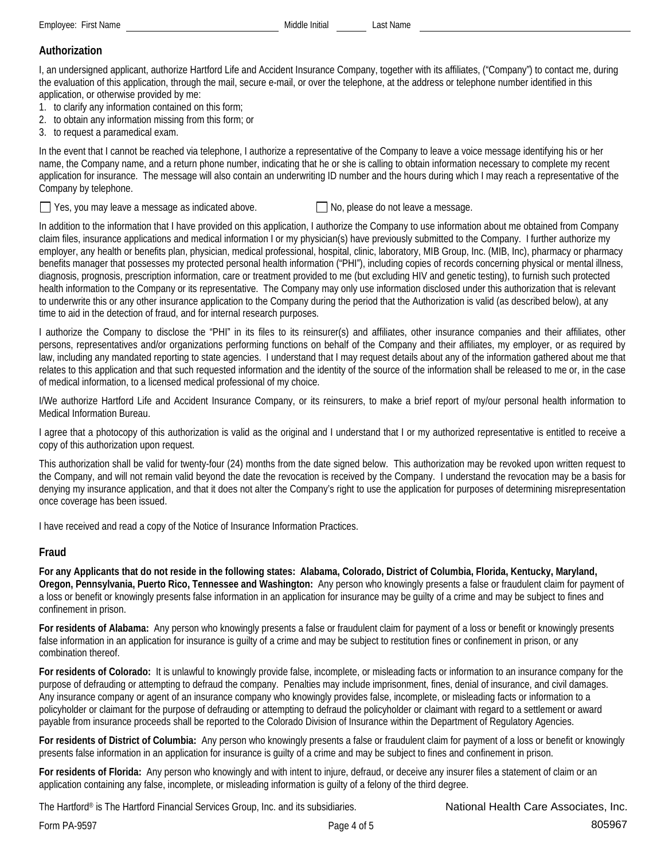Employee: First Name **Middle Initial** Last Name **Middle Initial** 

# **Authorization**

I, an undersigned applicant, authorize Hartford Life and Accident Insurance Company, together with its affiliates, ("Company") to contact me, during the evaluation of this application, through the mail, secure e-mail, or over the telephone, at the address or telephone number identified in this application, or otherwise provided by me:

- 1. to clarify any information contained on this form;
- 2. to obtain any information missing from this form; or
- 3. to request a paramedical exam.

In the event that I cannot be reached via telephone, I authorize a representative of the Company to leave a voice message identifying his or her name, the Company name, and a return phone number, indicating that he or she is calling to obtain information necessary to complete my recent application for insurance. The message will also contain an underwriting ID number and the hours during which I may reach a representative of the Company by telephone.

 $\Box$  Yes, you may leave a message as indicated above.  $\Box$  No, please do not leave a message.

In addition to the information that I have provided on this application, I authorize the Company to use information about me obtained from Company claim files, insurance applications and medical information I or my physician(s) have previously submitted to the Company. I further authorize my employer, any health or benefits plan, physician, medical professional, hospital, clinic, laboratory, MIB Group, Inc. (MIB, Inc), pharmacy or pharmacy benefits manager that possesses my protected personal health information ("PHI"), including copies of records concerning physical or mental illness, diagnosis, prognosis, prescription information, care or treatment provided to me (but excluding HIV and genetic testing), to furnish such protected health information to the Company or its representative. The Company may only use information disclosed under this authorization that is relevant to underwrite this or any other insurance application to the Company during the period that the Authorization is valid (as described below), at any time to aid in the detection of fraud, and for internal research purposes.

I authorize the Company to disclose the "PHI" in its files to its reinsurer(s) and affiliates, other insurance companies and their affiliates, other persons, representatives and/or organizations performing functions on behalf of the Company and their affiliates, my employer, or as required by law, including any mandated reporting to state agencies. I understand that I may request details about any of the information gathered about me that relates to this application and that such requested information and the identity of the source of the information shall be released to me or, in the case of medical information, to a licensed medical professional of my choice.

I/We authorize Hartford Life and Accident Insurance Company, or its reinsurers, to make a brief report of my/our personal health information to Medical Information Bureau.

I agree that a photocopy of this authorization is valid as the original and I understand that I or my authorized representative is entitled to receive a copy of this authorization upon request.

This authorization shall be valid for twenty-four (24) months from the date signed below. This authorization may be revoked upon written request to the Company, and will not remain valid beyond the date the revocation is received by the Company. I understand the revocation may be a basis for denying my insurance application, and that it does not alter the Company's right to use the application for purposes of determining misrepresentation once coverage has been issued.

I have received and read a copy of the Notice of Insurance Information Practices.

### **Fraud**

**For any Applicants that do not reside in the following states: Alabama, Colorado, District of Columbia, Florida, Kentucky, Maryland, Oregon, Pennsylvania, Puerto Rico, Tennessee and Washington:** Any person who knowingly presents a false or fraudulent claim for payment of a loss or benefit or knowingly presents false information in an application for insurance may be guilty of a crime and may be subject to fines and confinement in prison.

**For residents of Alabama:** Any person who knowingly presents a false or fraudulent claim for payment of a loss or benefit or knowingly presents false information in an application for insurance is guilty of a crime and may be subject to restitution fines or confinement in prison, or any combination thereof.

**For residents of Colorado:** It is unlawful to knowingly provide false, incomplete, or misleading facts or information to an insurance company for the purpose of defrauding or attempting to defraud the company. Penalties may include imprisonment, fines, denial of insurance, and civil damages. Any insurance company or agent of an insurance company who knowingly provides false, incomplete, or misleading facts or information to a policyholder or claimant for the purpose of defrauding or attempting to defraud the policyholder or claimant with regard to a settlement or award payable from insurance proceeds shall be reported to the Colorado Division of Insurance within the Department of Regulatory Agencies.

**For residents of District of Columbia:** Any person who knowingly presents a false or fraudulent claim for payment of a loss or benefit or knowingly presents false information in an application for insurance is guilty of a crime and may be subject to fines and confinement in prison.

**For residents of Florida:** Any person who knowingly and with intent to injure, defraud, or deceive any insurer files a statement of claim or an application containing any false, incomplete, or misleading information is guilty of a felony of the third degree.

The Hartford® is The Hartford Financial Services Group, Inc. and its subsidiaries.